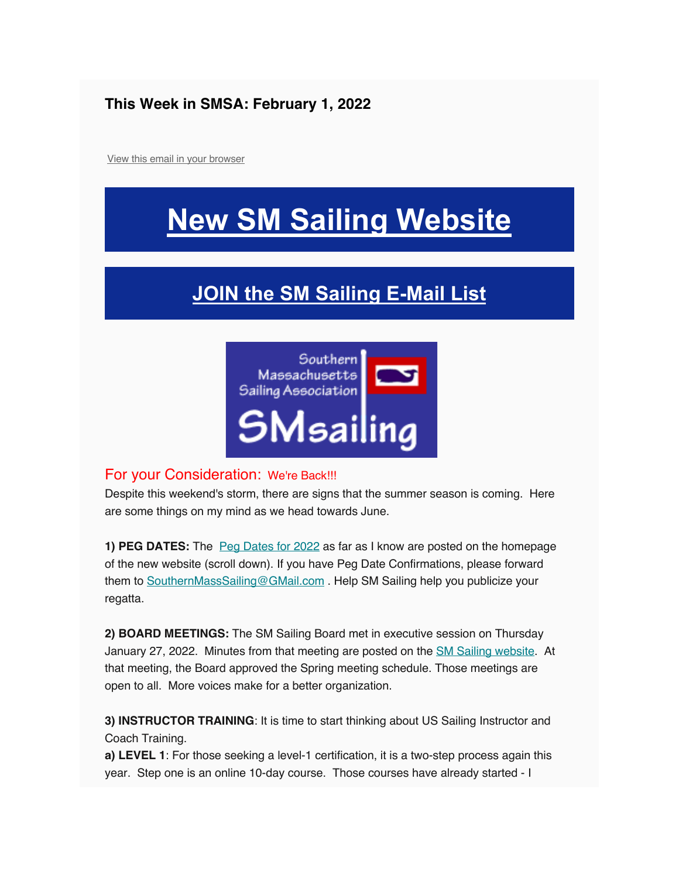#### **This Week in SMSA: February 1, 2022**

View this email in your browser

## **New SM Sailing Website**

### **JOIN the SM Sailing E-Mail List**



#### For your Consideration: We're Back!!!

Despite this weekend's storm, there are signs that the summer season is coming. Here are some things on my mind as we head towards June.

**1) PEG DATES:** The Peg Dates for 2022 as far as I know are posted on the homepage of the new website (scroll down). If you have Peg Date Confirmations, please forward them to SouthernMassSailing@GMail.com . Help SM Sailing help you publicize your regatta.

**2) BOARD MEETINGS:** The SM Sailing Board met in executive session on Thursday January 27, 2022. Minutes from that meeting are posted on the **SM Sailing website**. At that meeting, the Board approved the Spring meeting schedule. Those meetings are open to all. More voices make for a better organization.

**3) INSTRUCTOR TRAINING**: It is time to start thinking about US Sailing Instructor and Coach Training.

**a) LEVEL 1**: For those seeking a level-1 certification, it is a two-step process again this year. Step one is an online 10-day course. Those courses have already started - I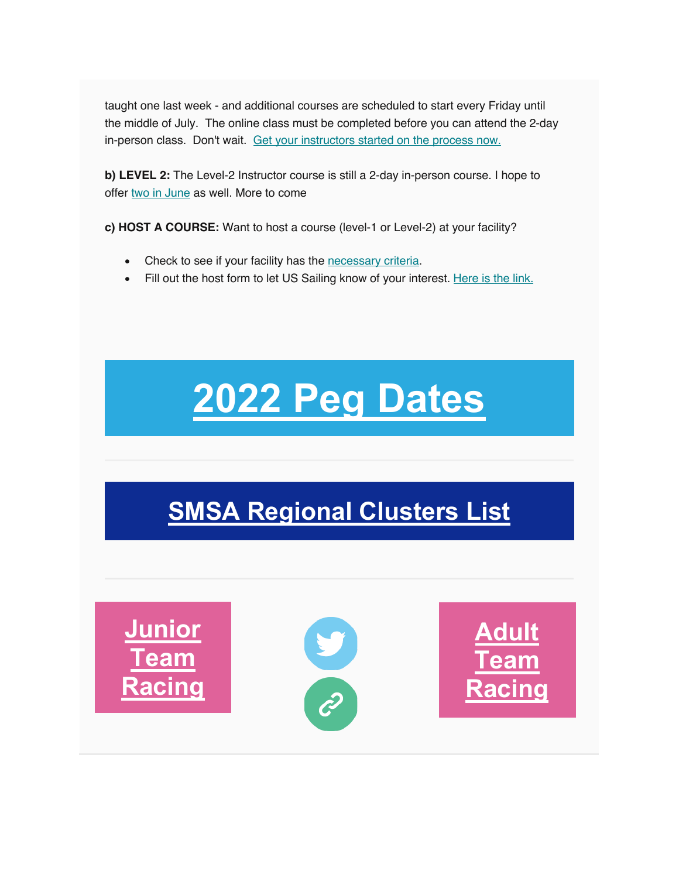taught one last week - and additional courses are scheduled to start every Friday until the middle of July. The online class must be completed before you can attend the 2-day in-person class. Don't wait. Get your instructors started on the process now.

**b) LEVEL 2:** The Level-2 Instructor course is still a 2-day in-person course. I hope to offer two in June as well. More to come

**c) HOST A COURSE:** Want to host a course (level-1 or Level-2) at your facility?

- Check to see if your facility has the necessary criteria.
- Fill out the host form to let US Sailing know of your interest. Here is the link.

# **2022 Peg Dates**

## **SMSA Regional Clusters List**